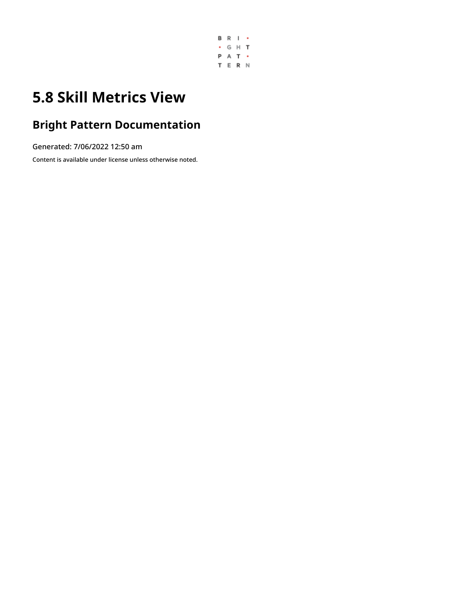

# **5.8 Skill Metrics View**

### **Bright Pattern Documentation**

Generated: 7/06/2022 12:50 am

Content is available under license unless otherwise noted.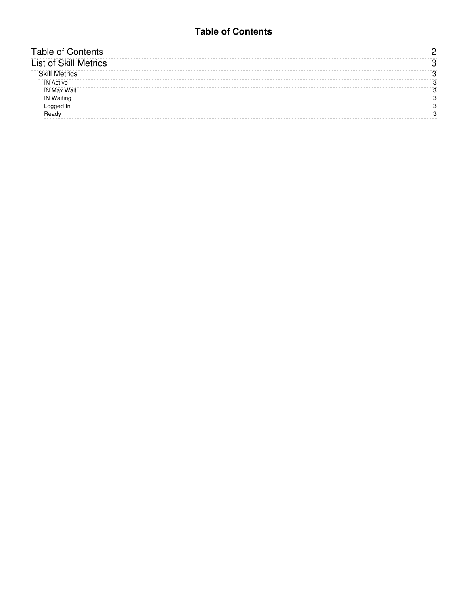#### **Table of Contents**

<span id="page-1-0"></span>

| <b>Table of Contents</b>     |  |
|------------------------------|--|
| <b>List of Skill Metrics</b> |  |
| <b>Skill Metrics</b>         |  |
| <b>IN Active</b>             |  |
| <b>IN Max Wait</b>           |  |
| <b>IN Waiting</b>            |  |
| _ogged                       |  |
| Ready                        |  |
|                              |  |